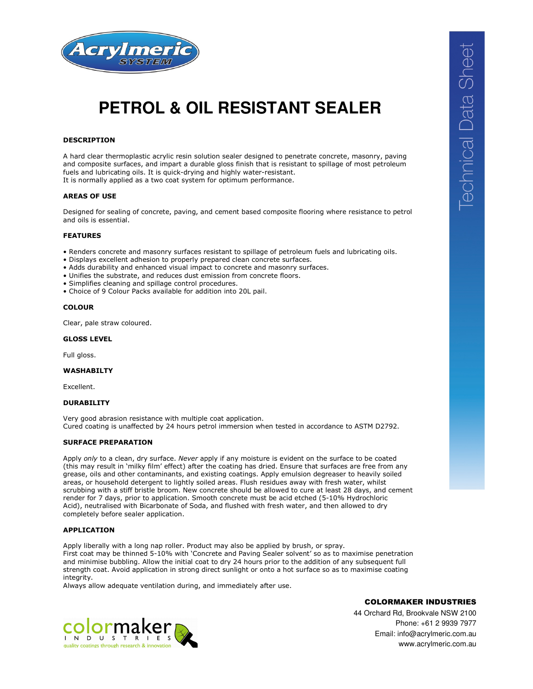

# **PETROL & OIL RESISTANT SEALER**

# **DESCRIPTION**

A hard clear thermoplastic acrylic resin solution sealer designed to penetrate concrete, masonry, paving and composite surfaces, and impart a durable gloss finish that is resistant to spillage of most petroleum fuels and lubricating oils. It is quick-drying and highly water-resistant. It is normally applied as a two coat system for optimum performance.

## **AREAS OF USE**

Designed for sealing of concrete, paving, and cement based composite flooring where resistance to petrol and oils is essential.

#### **FEATURES**

- Renders concrete and masonry surfaces resistant to spillage of petroleum fuels and lubricating oils.
- Displays excellent adhesion to properly prepared clean concrete surfaces.
- Adds durability and enhanced visual impact to concrete and masonry surfaces.
- Unifies the substrate, and reduces dust emission from concrete floors.
- Simplifies cleaning and spillage control procedures.
- Choice of 9 Colour Packs available for addition into 20L pail.

### **COLOUR**

Clear, pale straw coloured.

#### **GLOSS LEVEL**

Full gloss.

## **WASHABILTY**

Excellent.

## **DURABILITY**

Very good abrasion resistance with multiple coat application. Cured coating is unaffected by 24 hours petrol immersion when tested in accordance to ASTM D2792.

### **SURFACE PREPARATION**

Apply *only* to a clean, dry surface. *Never* apply if any moisture is evident on the surface to be coated (this may result in 'milky film' effect) after the coating has dried. Ensure that surfaces are free from any grease, oils and other contaminants, and existing coatings. Apply emulsion degreaser to heavily soiled areas, or household detergent to lightly soiled areas. Flush residues away with fresh water, whilst scrubbing with a stiff bristle broom. New concrete should be allowed to cure at least 28 days, and cement render for 7 days, prior to application. Smooth concrete must be acid etched (5-10% Hydrochloric Acid), neutralised with Bicarbonate of Soda, and flushed with fresh water, and then allowed to dry completely before sealer application.

# **APPLICATION**

Apply liberally with a long nap roller. Product may also be applied by brush, or spray. First coat may be thinned 5-10% with 'Concrete and Paving Sealer solvent' so as to maximise penetration and minimise bubbling. Allow the initial coat to dry 24 hours prior to the addition of any subsequent full strength coat. Avoid application in strong direct sunlight or onto a hot surface so as to maximise coating integrity.

Always allow adequate ventilation during, and immediately after use.



COLORMAKER INDUSTRIES

44 Orchard Rd, Brookvale NSW 2100 Phone: +61 2 9939 7977 Email: info@acrylmeric.com.au www.acrylmeric.com.au